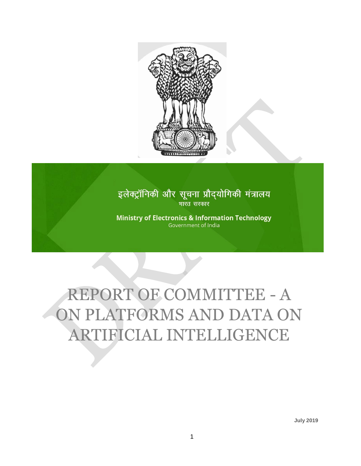

# इलेक्ट्रॉनिकी और सूचना प्रौद्योगिकी मंत्रालय भारत सरकार

**Ministry of Electronics & Information Technology** Government of India

# REPORT OF COMMITTEE - A ON PLATFORMS AND DATA ON ARTIFICIAL INTELLIGENCE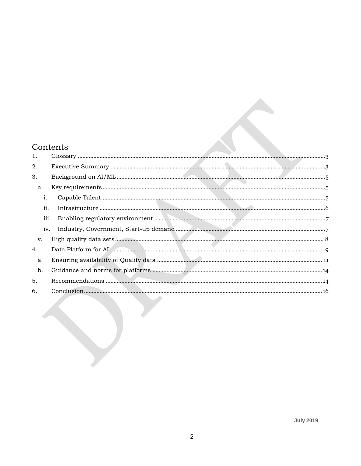## Contents

| 1.   |  |
|------|--|
| 2.   |  |
| 3.   |  |
| a.   |  |
| i.   |  |
| ii.  |  |
| iii. |  |
| iv.  |  |
| v.   |  |
| 4.   |  |
| a.   |  |
| b.   |  |
| 5.   |  |
| 6.   |  |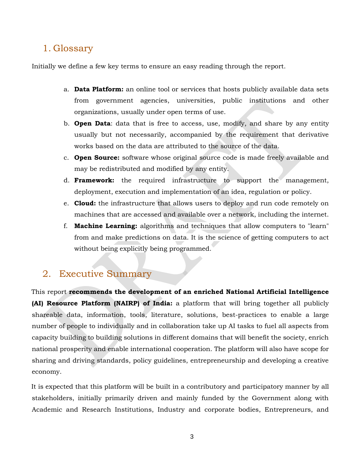# <span id="page-2-0"></span>1. Glossary

Initially we define a few key terms to ensure an easy reading through the report.

- a. **Data Platform:** an online tool or services that hosts publicly available data sets from government agencies, universities, public institutions and other organizations, usually under open terms of use.
- b. **Open Data**: data that is free to access, use, modify, and share by any entity usually but not necessarily, accompanied by the requirement that derivative works based on the data are attributed to the source of the data.
- c. **Open Source:** software whose original source code is made freely available and may be redistributed and modified by any entity.
- d. **Framework:** the required infrastructure to support the management, deployment, execution and implementation of an idea, regulation or policy.
- e. **Cloud:** the infrastructure that allows users to deploy and run code remotely on machines that are accessed and available over a network, including the internet.
- f. **Machine Learning:** algorithms and techniques that allow computers to "learn" from and make predictions on data. It is the science of getting computers to act without being explicitly being programmed.

# <span id="page-2-1"></span>2. Executive Summary

This report **recommends the development of an enriched National Artificial Intelligence (AI) Resource Platform (NAIRP) of India:** a platform that will bring together all publicly shareable data, information, tools, literature, solutions, best-practices to enable a large number of people to individually and in collaboration take up AI tasks to fuel all aspects from capacity building to building solutions in different domains that will benefit the society, enrich national prosperity and enable international cooperation. The platform will also have scope for sharing and driving standards, policy guidelines, entrepreneurship and developing a creative economy.

It is expected that this platform will be built in a contributory and participatory manner by all stakeholders, initially primarily driven and mainly funded by the Government along with Academic and Research Institutions, Industry and corporate bodies, Entrepreneurs, and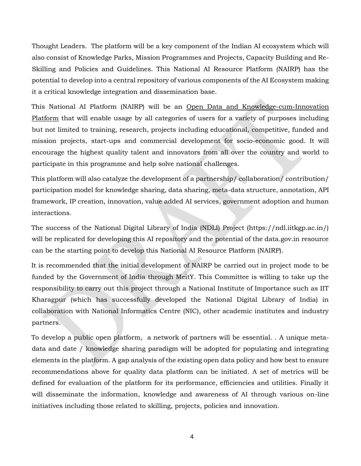Thought Leaders. The platform will be a key component of the Indian AI ecosystem which will also consist of Knowledge Parks, Mission Programmes and Projects, Capacity Building and Re-Skilling and Policies and Guidelines. This National AI Resource Platform (NAIRP) has the potential to develop into a central repository of various components of the AI Ecosystem making it a critical knowledge integration and dissemination base.

This National AI Platform (NAIRP) will be an Open Data and Knowledge-cum-Innovation Platform that will enable usage by all categories of users for a variety of purposes including but not limited to training, research, projects including educational, competitive, funded and mission projects, start-ups and commercial development for socio-economic good. It will encourage the highest quality talent and innovators from all over the country and world to participate in this programme and help solve national challenges.

This platform will also catalyze the development of a partnership/ collaboration/ contribution/ participation model for knowledge sharing, data sharing, meta-data structure, annotation, API framework, IP creation, innovation, value added AI services, government adoption and human interactions.

The success of the National Digital Library of India (NDLI) Project (https://ndl.iitkgp.ac.in/) will be replicated for developing this AI repository and the potential of the data.gov.in resource can be the starting point to develop this National AI Resource Platform (NAIRP).

It is recommended that the initial development of NAIRP be carried out in project mode to be funded by the Government of India through MeitY. This Committee is willing to take up the responsibility to carry out this project through a National Institute of Importance such as IIT Kharagpur (which has successfully developed the National Digital Library of India) in collaboration with National Informatics Centre (NIC), other academic institutes and industry partners.

To develop a public open platform, a network of partners will be essential. . A unique metadata and date / knowledge sharing paradigm will be adopted for populating and integrating elements in the platform. A gap analysis of the existing open data policy and how best to ensure recommendations above for quality data platform can be initiated. A set of metrics will be defined for evaluation of the platform for its performance, efficiencies and utilities. Finally it will disseminate the information, knowledge and awareness of AI through various on-line initiatives including those related to skilling, projects, policies and innovation.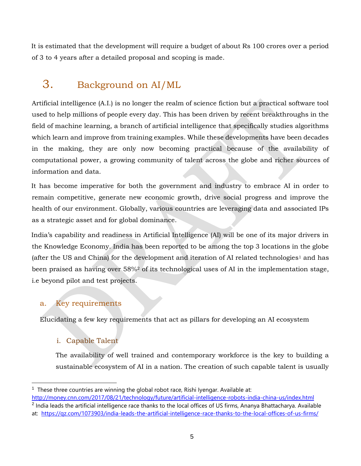It is estimated that the development will require a budget of about Rs 100 crores over a period of 3 to 4 years after a detailed proposal and scoping is made.

# <span id="page-4-0"></span>3. Background on AI/ML

Artificial intelligence (A.I.) is no longer the realm of science fiction but a practical software tool used to help millions of people every day. This has been driven by recent breakthroughs in the field of machine learning, a branch of artificial intelligence that specifically studies algorithms which learn and improve from training examples. While these developments have been decades in the making, they are only now becoming practical because of the availability of computational power, a growing community of talent across the globe and richer sources of information and data.

It has become imperative for both the government and industry to embrace AI in order to remain competitive, generate new economic growth, drive social progress and improve the health of our environment. Globally, various countries are leveraging data and associated IPs as a strategic asset and for global dominance.

India's capability and readiness in Artificial Intelligence (AI) will be one of its major drivers in the Knowledge Economy. India has been reported to be among the top 3 locations in the globe (after the US and China) for the development and iteration of AI related technologies<sup>1</sup> and has been praised as having over 58%<sup>2</sup> of its technological uses of AI in the implementation stage, i.e beyond pilot and test projects.

## <span id="page-4-1"></span>a. Key requirements

<span id="page-4-2"></span>Elucidating a few key requirements that act as pillars for developing an AI ecosystem

## i. Capable Talent

 $\overline{a}$ 

The availability of well trained and contemporary workforce is the key to building a sustainable ecosystem of AI in a nation. The creation of such capable talent is usually

<sup>&</sup>lt;sup>1</sup> These three countries are winning the global robot race, Rishi Iyengar. Available at:

<http://money.cnn.com/2017/08/21/technology/future/artificial-intelligence-robots-india-china-us/index.html>

<sup>&</sup>lt;sup>2</sup> India leads the artificial intelligence race thanks to the local offices of US firms, Ananya Bhattacharya. Available at: <https://qz.com/1073903/india-leads-the-artificial-intelligence-race-thanks-to-the-local-offices-of-us-firms/>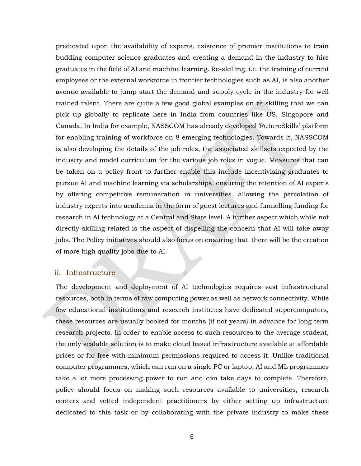predicated upon the availability of experts, existence of premier institutions to train budding computer science graduates and creating a demand in the industry to hire graduates in the field of AI and machine learning. Re-skilling, i.e. the training of current employees or the external workforce in frontier technologies such as AI, is also another avenue available to jump start the demand and supply cycle in the industry for well trained talent. There are quite a few good global examples on re skilling that we can pick up globally to replicate here in India from countries like US, Singapore and Canada. In India for example, NASSCOM has already developed 'FutureSkills' platform for enabling training of workforce on 8 emerging technologies. Towards it, NASSCOM is also developing the details of the job roles, the associated skillsets expected by the industry and model curriculum for the various job roles in vogue. Measures that can be taken on a policy front to further enable this include incentivising graduates to pursue AI and machine learning via scholarships, ensuring the retention of AI experts by offering competitive remuneration in universities, allowing the percolation of industry experts into academia in the form of guest lectures and funnelling funding for research in AI technology at a Central and State level. A further aspect which while not directly skilling related is the aspect of dispelling the concern that AI will take away jobs. The Policy initiatives should also focus on ensuring that there will be the creation of more high quality jobs due to AI.

#### <span id="page-5-0"></span>ii. Infrastructure

The development and deployment of AI technologies requires vast infrastructural resources, both in terms of raw computing power as well as network connectivity. While few educational institutions and research institutes have dedicated supercomputers, these resources are usually booked for months (if not years) in advance for long term research projects. In order to enable access to such resources to the average student, the only scalable solution is to make cloud based infrastructure available at affordable prices or for free with minimum permissions required to access it. Unlike traditional computer programmes, which can run on a single PC or laptop, AI and ML programmes take a lot more processing power to run and can take days to complete. Therefore, policy should focus on making such resources available to universities, research centers and vetted independent practitioners by either setting up infrastructure dedicated to this task or by collaborating with the private industry to make these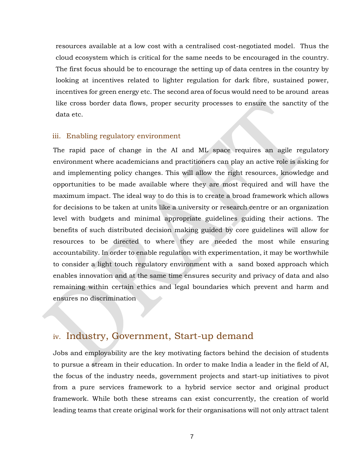resources available at a low cost with a centralised cost-negotiated model. Thus the cloud ecosystem which is critical for the same needs to be encouraged in the country. The first focus should be to encourage the setting up of data centres in the country by looking at incentives related to lighter regulation for dark fibre, sustained power, incentives for green energy etc. The second area of focus would need to be around areas like cross border data flows, proper security processes to ensure the sanctity of the data etc.

#### <span id="page-6-0"></span>iii. Enabling regulatory environment

The rapid pace of change in the AI and ML space requires an agile regulatory environment where academicians and practitioners can play an active role is asking for and implementing policy changes. This will allow the right resources, knowledge and opportunities to be made available where they are most required and will have the maximum impact. The ideal way to do this is to create a broad framework which allows for decisions to be taken at units like a university or research centre or an organization level with budgets and minimal appropriate guidelines guiding their actions. The benefits of such distributed decision making guided by core guidelines will allow for resources to be directed to where they are needed the most while ensuring accountability. In order to enable regulation with experimentation, it may be worthwhile to consider a light touch regulatory environment with a sand boxed approach which enables innovation and at the same time ensures security and privacy of data and also remaining within certain ethics and legal boundaries which prevent and harm and ensures no discrimination

## <span id="page-6-1"></span>iv. Industry, Government, Start-up demand

Jobs and employability are the key motivating factors behind the decision of students to pursue a stream in their education. In order to make India a leader in the field of AI, the focus of the industry needs, government projects and start-up initiatives to pivot from a pure services framework to a hybrid service sector and original product framework. While both these streams can exist concurrently, the creation of world leading teams that create original work for their organisations will not only attract talent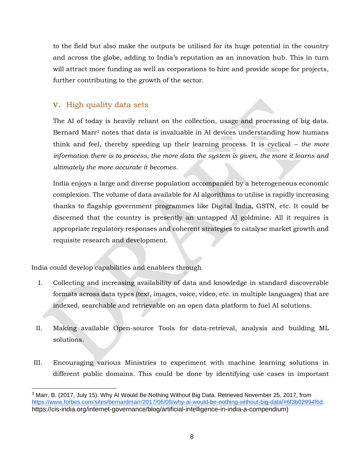to the field but also make the outputs be utilised for its huge potential in the country and across the globe, adding to India's reputation as an innovation hub. This in turn will attract more funding as well as corporations to hire and provide scope for projects, further contributing to the growth of the sector.

## <span id="page-7-0"></span>v. High quality data sets

The AI of today is heavily reliant on the collection, usage and processing of big data. Bernard Marr<sup>3</sup> notes that data is invaluable in AI devices understanding how humans think and feel, thereby speeding up their learning process. It is cyclical – *the more information there is to process, the more data the system is given, the more it learns and ultimately the more accurate it becomes.*

India enjoys a large and diverse population accompanied by a heterogeneous economic complexion. The volume of data available for AI algorithms to utilise is rapidly increasing thanks to flagship government programmes like Digital India, GSTN, etc. It could be discerned that the country is presently an untapped AI goldmine. All it requires is appropriate regulatory responses and coherent strategies to catalyse market growth and requisite research and development.

India could develop capabilities and enablers through

 $\overline{a}$ 

- I. Collecting and increasing availability of data and knowledge in standard discoverable formats across data types (text, images, voice, video, etc. in multiple languages) that are indexed, searchable and retrievable on an open data platform to fuel AI solutions.
- II. Making available Open-source Tools for data-retrieval, analysis and building ML solutions.
- III. Encouraging various Ministries to experiment with machine learning solutions in different public domains. This could be done by identifying use cases in important

<sup>&</sup>lt;sup>3</sup> Marr, B. (2017, July 15). Why AI Would Be Nothing Without Big Data. Retrieved November 25, 2017, from [https://www.forbes.com/sites/bernardmarr/2017/06/09/why-ai-would-be-nothing-without-big-data/#6f3b02994f6d.](https://www.forbes.com/sites/bernardmarr/2017/06/09/why-ai-would-be-nothing-without-big-data/#6f3b02994f6d) https://cis-india.org/internet-governance/blog/artificial-intelligence-in-india-a-compendium)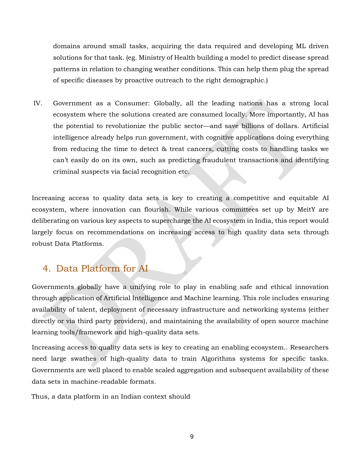domains around small tasks, acquiring the data required and developing ML driven solutions for that task. (eg. Ministry of Health building a model to predict disease spread patterns in relation to changing weather conditions. This can help them plug the spread of specific diseases by proactive outreach to the right demographic.)

IV. Government as a Consumer: Globally, all the leading nations has a strong local ecosystem where the solutions created are consumed locally. More importantly, AI has the potential to revolutionize the public sector—and save billions of dollars. Artificial intelligence already helps run government, with cognitive applications doing everything from reducing the time to detect & treat cancers, cutting costs to handling tasks we can't easily do on its own, such as predicting fraudulent transactions and identifying criminal suspects via facial recognition etc.

Increasing access to quality data sets is key to creating a competitive and equitable AI ecosystem, where innovation can flourish. While various committees set up by MeitY are deliberating on various key aspects to supercharge the AI ecosystem in India, this report would largely focus on recommendations on increasing access to high quality data sets through robust Data Platforms.

## <span id="page-8-0"></span>4. Data Platform for AI

Governments globally have a unifying role to play in enabling safe and ethical innovation through application of Artificial Intelligence and Machine learning. This role includes ensuring availability of talent, deployment of necessary infrastructure and networking systems (either directly or via third party providers), and maintaining the availability of open source machine learning tools/framework and high-quality data sets.

Increasing access to quality data sets is key to creating an enabling ecosystem.. Researchers need large swathes of high-quality data to train Algorithms systems for specific tasks. Governments are well placed to enable scaled aggregation and subsequent availability of these data sets in machine-readable formats.

Thus, a data platform in an Indian context should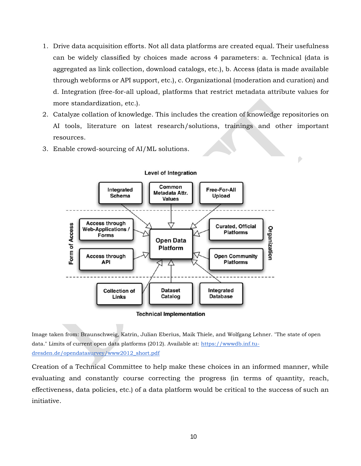- 1. Drive data acquisition efforts. Not all data platforms are created equal. Their usefulness can be widely classified by choices made across 4 parameters: a. Technical (data is aggregated as link collection, download catalogs, etc.), b. Access (data is made available through webforms or API support, etc.), c. Organizational (moderation and curation) and d. Integration (free-for-all upload, platforms that restrict metadata attribute values for more standardization, etc.).
- 2. Catalyze collation of knowledge. This includes the creation of knowledge repositories on AI tools, literature on latest research/solutions, trainings and other important resources.

Ď

3. Enable crowd-sourcing of AI/ML solutions.



**Level of Integration** 

**Technical Implementation** 

Image taken from: Braunschweig, Katrin, Julian Eberius, Maik Thiele, and Wolfgang Lehner. "The state of open data." Limits of current open data platforms (2012). Available at: [https://wwwdb.inf.tu](https://wwwdb.inf.tu-dresden.de/opendatasurvey/www2012_short.pdf)[dresden.de/opendatasurvey/www2012\\_short.pdf](https://wwwdb.inf.tu-dresden.de/opendatasurvey/www2012_short.pdf) 

Creation of a Technical Committee to help make these choices in an informed manner, while evaluating and constantly course correcting the progress (in terms of quantity, reach, effectiveness, data policies, etc.) of a data platform would be critical to the success of such an initiative.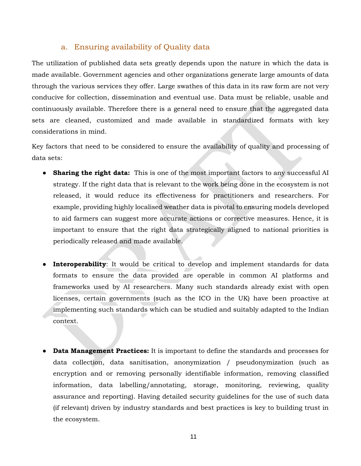## a. Ensuring availability of Quality data

<span id="page-10-0"></span>The utilization of published data sets greatly depends upon the nature in which the data is made available. Government agencies and other organizations generate large amounts of data through the various services they offer. Large swathes of this data in its raw form are not very conducive for collection, dissemination and eventual use. Data must be reliable, usable and continuously available. Therefore there is a general need to ensure that the aggregated data sets are cleaned, customized and made available in standardized formats with key considerations in mind.

Key factors that need to be considered to ensure the availability of quality and processing of data sets:

- **Sharing the right data:** This is one of the most important factors to any successful AI strategy. If the right data that is relevant to the work being done in the ecosystem is not released, it would reduce its effectiveness for practitioners and researchers. For example, providing highly localised weather data is pivotal to ensuring models developed to aid farmers can suggest more accurate actions or corrective measures. Hence, it is important to ensure that the right data strategically aligned to national priorities is periodically released and made available.
- **Interoperability**: It would be critical to develop and implement standards for data formats to ensure the data provided are operable in common AI platforms and frameworks used by AI researchers. Many such standards already exist with open licenses, certain governments (such as the ICO in the UK) have been proactive at implementing such standards which can be studied and suitably adapted to the Indian context.
- **Data Management Practices:** It is important to define the standards and processes for data collection, data sanitisation, anonymization / pseudonymization (such as encryption and or removing personally identifiable information, removing classified information, data labelling/annotating, storage, monitoring, reviewing, quality assurance and reporting). Having detailed security guidelines for the use of such data (if relevant) driven by industry standards and best practices is key to building trust in the ecosystem.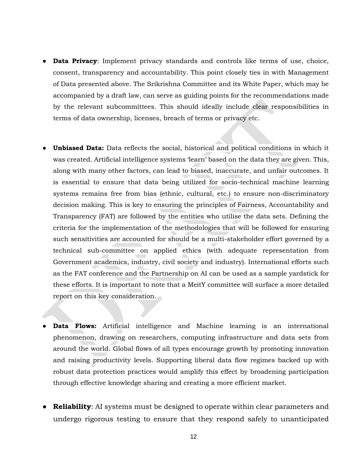- **Data Privacy**: Implement privacy standards and controls like terms of use, choice, consent, transparency and accountability. This point closely ties in with Management of Data presented above. The Srikrishna Committee and its White Paper, which may be accompanied by a draft law, can serve as guiding points for the recommendations made by the relevant subcommittees. This should ideally include clear responsibilities in terms of data ownership, licenses, breach of terms or privacy etc.
- Unbiased Data: Data reflects the social, historical and political conditions in which it was created. Artificial intelligence systems 'learn' based on the data they are given. This, along with many other factors, can lead to biased, inaccurate, and unfair outcomes. It is essential to ensure that data being utilized for socio-technical machine learning systems remains free from bias (ethnic, cultural, etc.) to ensure non-discriminatory decision making. This is key to ensuring the principles of Fairness, Accountability and Transparency (FAT) are followed by the entities who utilise the data sets. Defining the criteria for the implementation of the methodologies that will be followed for ensuring such sensitivities are accounted for should be a multi-stakeholder effort governed by a technical sub-committee on applied ethics (with adequate representation from Government academics, industry, civil society and industry). International efforts such as the FAT conference and the Partnership on AI can be used as a sample yardstick for these efforts. It is important to note that a MeitY committee will surface a more detailed report on this key consideration.
- **Data Flows:** Artificial intelligence and Machine learning is an international phenomenon, drawing on researchers, computing infrastructure and data sets from around the world. Global flows of all types encourage growth by promoting innovation and raising productivity levels. Supporting liberal data flow regimes backed up with robust data protection practices would amplify this effect by broadening participation through effective knowledge sharing and creating a more efficient market.
- **Reliability:** AI systems must be designed to operate within clear parameters and undergo rigorous testing to ensure that they respond safely to unanticipated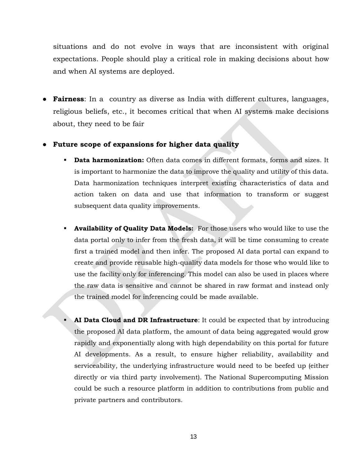situations and do not evolve in ways that are inconsistent with original expectations. People should play a critical role in making decisions about how and when AI systems are deployed.

● **Fairness**: In a country as diverse as India with different cultures, languages, religious beliefs, etc., it becomes critical that when AI systems make decisions about, they need to be fair

#### **Future scope of expansions for higher data quality**

- **Data harmonization:** Often data comes in different formats, forms and sizes. It is important to harmonize the data to improve the quality and utility of this data. Data harmonization techniques interpret existing characteristics of data and action taken on data and use that information to transform or suggest subsequent data quality improvements.
- **Availability of Quality Data Models:** For those users who would like to use the data portal only to infer from the fresh data, it will be time consuming to create first a trained model and then infer. The proposed AI data portal can expand to create and provide reusable high-quality data models for those who would like to use the facility only for inferencing. This model can also be used in places where the raw data is sensitive and cannot be shared in raw format and instead only the trained model for inferencing could be made available.
- **AI Data Cloud and DR Infrastructure**: It could be expected that by introducing the proposed AI data platform, the amount of data being aggregated would grow rapidly and exponentially along with high dependability on this portal for future AI developments. As a result, to ensure higher reliability, availability and serviceability, the underlying infrastructure would need to be beefed up (either directly or via third party involvement). The National Supercomputing Mission could be such a resource platform in addition to contributions from public and private partners and contributors.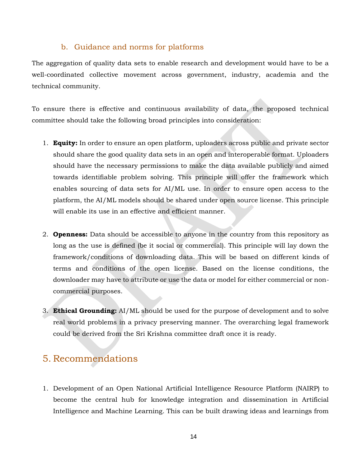#### b. Guidance and norms for platforms

<span id="page-13-0"></span>The aggregation of quality data sets to enable research and development would have to be a well-coordinated collective movement across government, industry, academia and the technical community.

To ensure there is effective and continuous availability of data, the proposed technical committee should take the following broad principles into consideration:

- 1. **Equity:** In order to ensure an open platform, uploaders across public and private sector should share the good quality data sets in an open and interoperable format. Uploaders should have the necessary permissions to make the data available publicly and aimed towards identifiable problem solving. This principle will offer the framework which enables sourcing of data sets for AI/ML use. In order to ensure open access to the platform, the AI/ML models should be shared under open source license. This principle will enable its use in an effective and efficient manner.
- 2. **Openness:** Data should be accessible to anyone in the country from this repository as long as the use is defined (be it social or commercial). This principle will lay down the framework/conditions of downloading data. This will be based on different kinds of terms and conditions of the open license. Based on the license conditions, the downloader may have to attribute or use the data or model for either commercial or noncommercial purposes.
- 3. **Ethical Grounding:** AI/ML should be used for the purpose of development and to solve real world problems in a privacy preserving manner. The overarching legal framework could be derived from the Sri Krishna committee draft once it is ready.

## <span id="page-13-1"></span>5. Recommendations

1. Development of an Open National Artificial Intelligence Resource Platform (NAIRP) to become the central hub for knowledge integration and dissemination in Artificial Intelligence and Machine Learning. This can be built drawing ideas and learnings from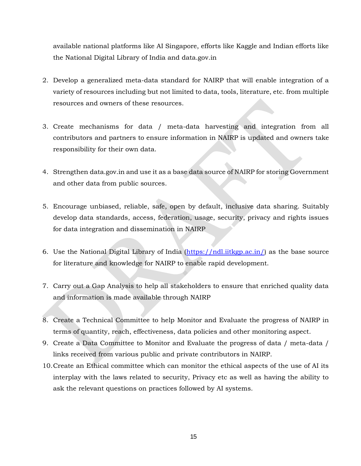available national platforms like AI Singapore, efforts like Kaggle and Indian efforts like the National Digital Library of India and data.gov.in

- 2. Develop a generalized meta-data standard for NAIRP that will enable integration of a variety of resources including but not limited to data, tools, literature, etc. from multiple resources and owners of these resources.
- 3. Create mechanisms for data / meta-data harvesting and integration from all contributors and partners to ensure information in NAIRP is updated and owners take responsibility for their own data.
- 4. Strengthen data.gov.in and use it as a base data source of NAIRP for storing Government and other data from public sources.
- 5. Encourage unbiased, reliable, safe, open by default, inclusive data sharing. Suitably develop data standards, access, federation, usage, security, privacy and rights issues for data integration and dissemination in NAIRP
- 6. Use the National Digital Library of India [\(https://ndl.iitkgp.ac.in/\)](https://ndl.iitkgp.ac.in/) as the base source for literature and knowledge for NAIRP to enable rapid development.
- 7. Carry out a Gap Analysis to help all stakeholders to ensure that enriched quality data and information is made available through NAIRP
- 8. Create a Technical Committee to help Monitor and Evaluate the progress of NAIRP in terms of quantity, reach, effectiveness, data policies and other monitoring aspect.
- 9. Create a Data Committee to Monitor and Evaluate the progress of data / meta-data / links received from various public and private contributors in NAIRP.
- 10.Create an Ethical committee which can monitor the ethical aspects of the use of AI its interplay with the laws related to security, Privacy etc as well as having the ability to ask the relevant questions on practices followed by AI systems.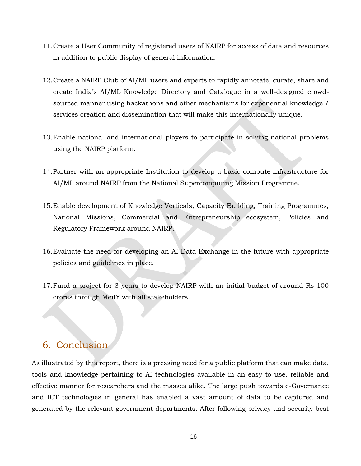- 11.Create a User Community of registered users of NAIRP for access of data and resources in addition to public display of general information.
- 12.Create a NAIRP Club of AI/ML users and experts to rapidly annotate, curate, share and create India's AI/ML Knowledge Directory and Catalogue in a well-designed crowdsourced manner using hackathons and other mechanisms for exponential knowledge / services creation and dissemination that will make this internationally unique.
- 13.Enable national and international players to participate in solving national problems using the NAIRP platform.
- 14.Partner with an appropriate Institution to develop a basic compute infrastructure for AI/ML around NAIRP from the National Supercomputing Mission Programme.
- 15.Enable development of Knowledge Verticals, Capacity Building, Training Programmes, National Missions, Commercial and Entrepreneurship ecosystem, Policies and Regulatory Framework around NAIRP.
- 16.Evaluate the need for developing an AI Data Exchange in the future with appropriate policies and guidelines in place.
- 17.Fund a project for 3 years to develop NAIRP with an initial budget of around Rs 100 crores through MeitY with all stakeholders.

## <span id="page-15-0"></span>6. Conclusion

As illustrated by this report, there is a pressing need for a public platform that can make data, tools and knowledge pertaining to AI technologies available in an easy to use, reliable and effective manner for researchers and the masses alike. The large push towards e-Governance and ICT technologies in general has enabled a vast amount of data to be captured and generated by the relevant government departments. After following privacy and security best